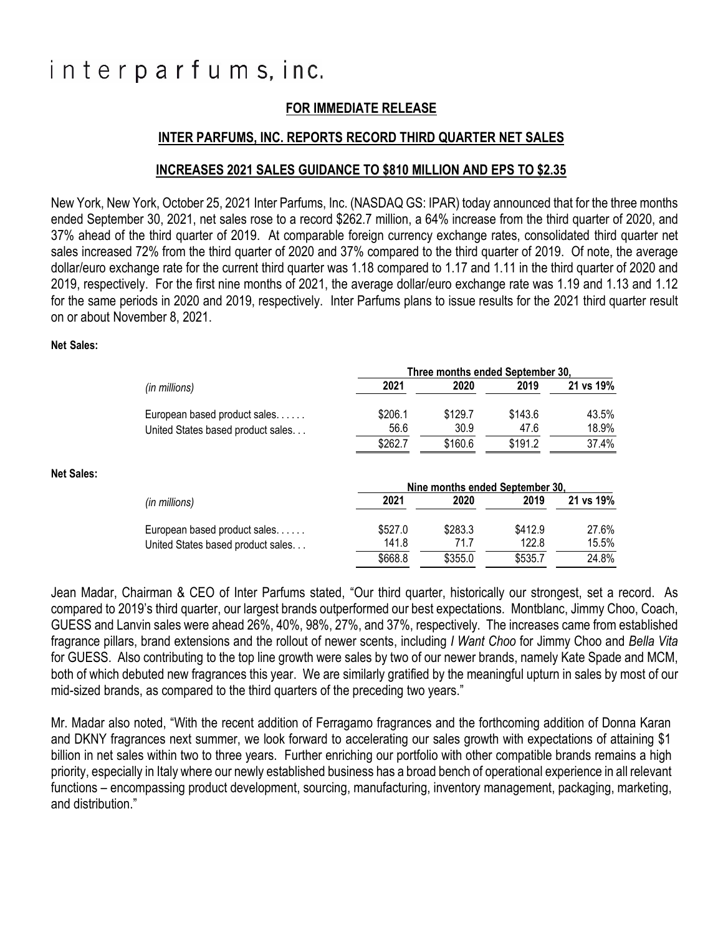# interparfums, inc.

## **FOR IMMEDIATE RELEASE**

### **INTER PARFUMS, INC. REPORTS RECORD THIRD QUARTER NET SALES**

### **INCREASES 2021 SALES GUIDANCE TO \$810 MILLION AND EPS TO \$2.35**

New York, New York, October 25, 2021 Inter Parfums, Inc. (NASDAQ GS: IPAR) today announced that for the three months ended September 30, 2021, net sales rose to a record \$262.7 million, a 64% increase from the third quarter of 2020, and 37% ahead of the third quarter of 2019. At comparable foreign currency exchange rates, consolidated third quarter net sales increased 72% from the third quarter of 2020 and 37% compared to the third quarter of 2019. Of note, the average dollar/euro exchange rate for the current third quarter was 1.18 compared to 1.17 and 1.11 in the third quarter of 2020 and 2019, respectively. For the first nine months of 2021, the average dollar/euro exchange rate was 1.19 and 1.13 and 1.12 for the same periods in 2020 and 2019, respectively. Inter Parfums plans to issue results for the 2021 third quarter result on or about November 8, 2021.

#### **Net Sales:**

|                   |                                   | Three months ended September 30, |         |         |           |
|-------------------|-----------------------------------|----------------------------------|---------|---------|-----------|
|                   | (in millions)                     | 2021                             | 2020    | 2019    | 21 vs 19% |
|                   | European based product sales      | \$206.1                          | \$129.7 | \$143.6 | 43.5%     |
|                   | United States based product sales | 56.6                             | 30.9    | 47.6    | 18.9%     |
|                   |                                   | \$262.7                          | \$160.6 | \$191.2 | 37.4%     |
| <b>Net Sales:</b> |                                   |                                  |         |         |           |
|                   |                                   | Nine months ended September 30,  |         |         |           |
|                   | (in millions)                     | 2021                             | 2020    | 2019    | 21 vs 19% |
|                   | European based product sales      | \$527.0                          | \$283.3 | \$412.9 | 27.6%     |
|                   | United States based product sales | 141.8                            | 71.7    | 122.8   | 15.5%     |
|                   |                                   | \$668.8                          | \$355.0 | \$535.7 | 24.8%     |

Jean Madar, Chairman & CEO of Inter Parfums stated, "Our third quarter, historically our strongest, set a record. As compared to 2019's third quarter, our largest brands outperformed our best expectations. Montblanc, Jimmy Choo, Coach, GUESS and Lanvin sales were ahead 26%, 40%, 98%, 27%, and 37%, respectively. The increases came from established fragrance pillars, brand extensions and the rollout of newer scents, including *I Want Choo* for Jimmy Choo and *Bella Vita* for GUESS. Also contributing to the top line growth were sales by two of our newer brands, namely Kate Spade and MCM, both of which debuted new fragrances this year. We are similarly gratified by the meaningful upturn in sales by most of our mid-sized brands, as compared to the third quarters of the preceding two years."

Mr. Madar also noted, "With the recent addition of Ferragamo fragrances and the forthcoming addition of Donna Karan and DKNY fragrances next summer, we look forward to accelerating our sales growth with expectations of attaining \$1 billion in net sales within two to three years. Further enriching our portfolio with other compatible brands remains a high priority, especially in Italy where our newly established business has a broad bench of operational experience in all relevant functions – encompassing product development, sourcing, manufacturing, inventory management, packaging, marketing, and distribution."